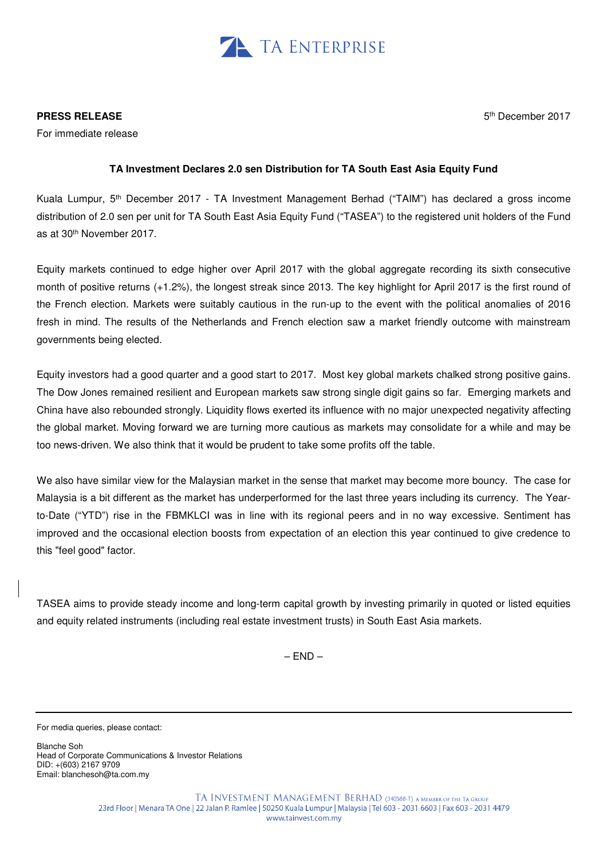

## **PRESS RELEASE**

For immediate release

5 th December 2017

# **TA Investment Declares 2.0 sen Distribution for TA South East Asia Equity Fund**

Kuala Lumpur, 5th December 2017 - TA Investment Management Berhad ("TAIM") has declared a gross income distribution of 2.0 sen per unit for TA South East Asia Equity Fund ("TASEA") to the registered unit holders of the Fund as at 30th November 2017.

Equity markets continued to edge higher over April 2017 with the global aggregate recording its sixth consecutive month of positive returns (+1.2%), the longest streak since 2013. The key highlight for April 2017 is the first round of the French election. Markets were suitably cautious in the run-up to the event with the political anomalies of 2016 fresh in mind. The results of the Netherlands and French election saw a market friendly outcome with mainstream governments being elected.

Equity investors had a good quarter and a good start to 2017. Most key global markets chalked strong positive gains. The Dow Jones remained resilient and European markets saw strong single digit gains so far. Emerging markets and China have also rebounded strongly. Liquidity flows exerted its influence with no major unexpected negativity affecting the global market. Moving forward we are turning more cautious as markets may consolidate for a while and may be too news-driven. We also think that it would be prudent to take some profits off the table.

We also have similar view for the Malaysian market in the sense that market may become more bouncy. The case for Malaysia is a bit different as the market has underperformed for the last three years including its currency. The Yearto-Date ("YTD") rise in the FBMKLCI was in line with its regional peers and in no way excessive. Sentiment has improved and the occasional election boosts from expectation of an election this year continued to give credence to this "feel good" factor.

TASEA aims to provide steady income and long-term capital growth by investing primarily in quoted or listed equities and equity related instruments (including real estate investment trusts) in South East Asia markets.

 $-$  END $-$ 

For media queries, please contact:

Blanche Soh Head of Corporate Communications & Investor Relations DID: +(603) 2167 9709 Email: blanchesoh@ta.com.my